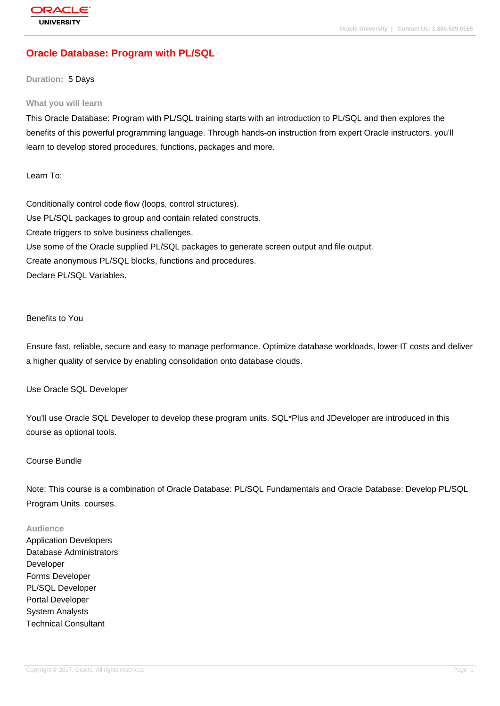# **[Oracle Databas](http://education.oracle.com/pls/web_prod-plq-dad/db_pages.getpage?page_id=3)e: Program with PL/SQL**

#### **Duration:** 5 Days

#### **What you will learn**

This Oracle Database: Program with PL/SQL training starts with an introduction to PL/SQL and then explores the benefits of this powerful programming language. Through hands-on instruction from expert Oracle instructors, you'll learn to develop stored procedures, functions, packages and more.

Learn To:

Conditionally control code flow (loops, control structures). Use PL/SQL packages to group and contain related constructs. Create triggers to solve business challenges. Use some of the Oracle supplied PL/SQL packages to generate screen output and file output. Create anonymous PL/SQL blocks, functions and procedures. Declare PL/SQL Variables.

Benefits to You

Ensure fast, reliable, secure and easy to manage performance. Optimize database workloads, lower IT costs and deliver a higher quality of service by enabling consolidation onto database clouds.

Use Oracle SQL Developer

You'll use Oracle SQL Developer to develop these program units. SQL\*Plus and JDeveloper are introduced in this course as optional tools.

#### Course Bundle

Note: This course is a combination of Oracle Database: PL/SQL Fundamentals and Oracle Database: Develop PL/SQL Program Units courses.

#### **Audience**

Application Developers Database Administrators Developer Forms Developer PL/SQL Developer Portal Developer System Analysts Technical Consultant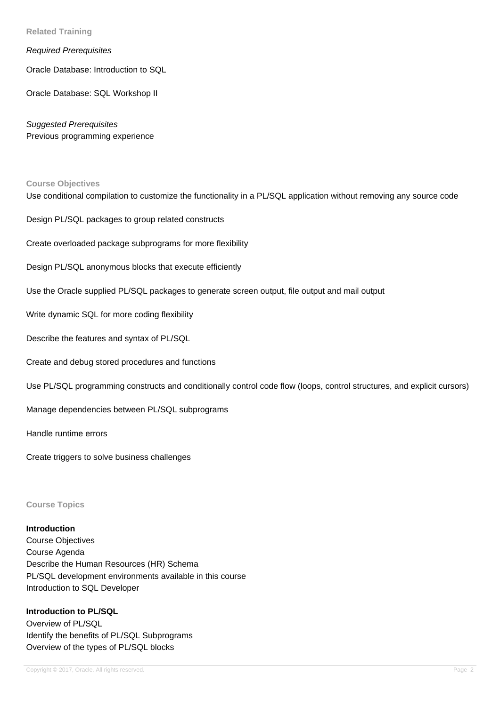**Related Training**

### Required Prerequisites

Oracle Database: Introduction to SQL

Oracle Database: SQL Workshop II

Suggested Prerequisites Previous programming experience

#### **Course Objectives**

Use conditional compilation to customize the functionality in a PL/SQL application without removing any source code

Design PL/SQL packages to group related constructs

Create overloaded package subprograms for more flexibility

Design PL/SQL anonymous blocks that execute efficiently

Use the Oracle supplied PL/SQL packages to generate screen output, file output and mail output

Write dynamic SQL for more coding flexibility

Describe the features and syntax of PL/SQL

Create and debug stored procedures and functions

Use PL/SQL programming constructs and conditionally control code flow (loops, control structures, and explicit cursors)

Manage dependencies between PL/SQL subprograms

Handle runtime errors

Create triggers to solve business challenges

**Course Topics**

#### **Introduction**

Course Objectives Course Agenda Describe the Human Resources (HR) Schema PL/SQL development environments available in this course Introduction to SQL Developer

# **Introduction to PL/SQL**

Overview of PL/SQL Identify the benefits of PL/SQL Subprograms Overview of the types of PL/SQL blocks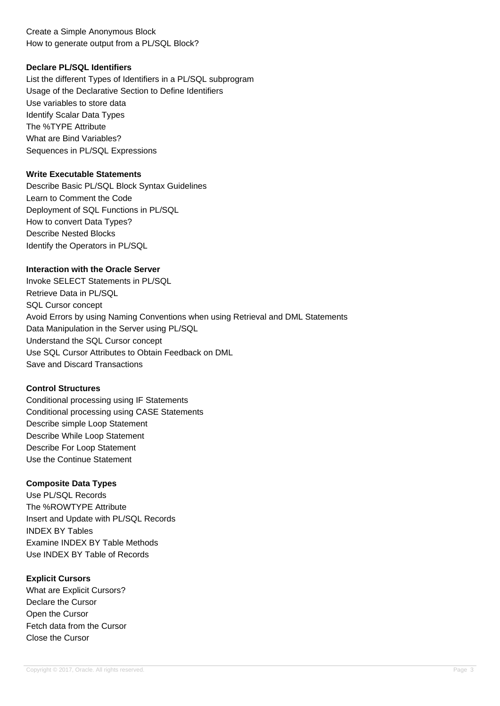# Create a Simple Anonymous Block How to generate output from a PL/SQL Block?

## **Declare PL/SQL Identifiers**

List the different Types of Identifiers in a PL/SQL subprogram Usage of the Declarative Section to Define Identifiers Use variables to store data Identify Scalar Data Types The %TYPE Attribute What are Bind Variables? Sequences in PL/SQL Expressions

#### **Write Executable Statements**

Describe Basic PL/SQL Block Syntax Guidelines Learn to Comment the Code Deployment of SQL Functions in PL/SQL How to convert Data Types? Describe Nested Blocks Identify the Operators in PL/SQL

### **Interaction with the Oracle Server**

Invoke SELECT Statements in PL/SQL Retrieve Data in PL/SQL SQL Cursor concept Avoid Errors by using Naming Conventions when using Retrieval and DML Statements Data Manipulation in the Server using PL/SQL Understand the SQL Cursor concept Use SQL Cursor Attributes to Obtain Feedback on DML Save and Discard Transactions

#### **Control Structures**

Conditional processing using IF Statements Conditional processing using CASE Statements Describe simple Loop Statement Describe While Loop Statement Describe For Loop Statement Use the Continue Statement

### **Composite Data Types**

Use PL/SQL Records The %ROWTYPE Attribute Insert and Update with PL/SQL Records INDEX BY Tables Examine INDEX BY Table Methods Use INDEX BY Table of Records

### **Explicit Cursors**

What are Explicit Cursors? Declare the Cursor Open the Cursor Fetch data from the Cursor Close the Cursor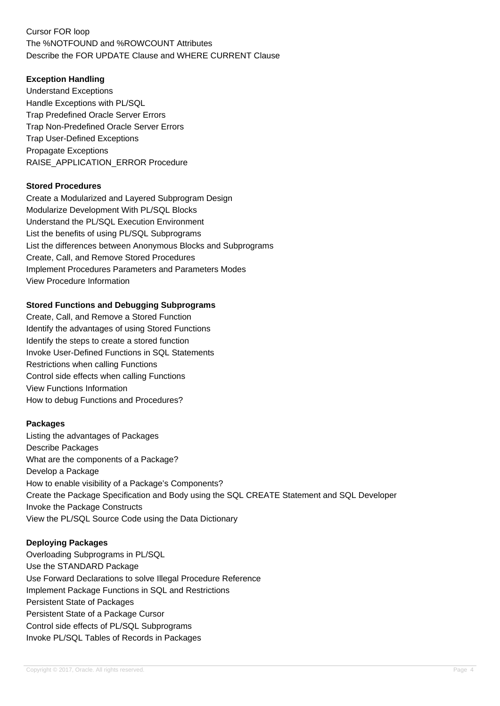# Cursor FOR loop The %NOTFOUND and %ROWCOUNT Attributes Describe the FOR UPDATE Clause and WHERE CURRENT Clause

# **Exception Handling**

Understand Exceptions Handle Exceptions with PL/SQL Trap Predefined Oracle Server Errors Trap Non-Predefined Oracle Server Errors Trap User-Defined Exceptions Propagate Exceptions RAISE\_APPLICATION\_ERROR Procedure

### **Stored Procedures**

Create a Modularized and Layered Subprogram Design Modularize Development With PL/SQL Blocks Understand the PL/SQL Execution Environment List the benefits of using PL/SQL Subprograms List the differences between Anonymous Blocks and Subprograms Create, Call, and Remove Stored Procedures Implement Procedures Parameters and Parameters Modes View Procedure Information

## **Stored Functions and Debugging Subprograms**

Create, Call, and Remove a Stored Function Identify the advantages of using Stored Functions Identify the steps to create a stored function Invoke User-Defined Functions in SQL Statements Restrictions when calling Functions Control side effects when calling Functions View Functions Information How to debug Functions and Procedures?

### **Packages**

Listing the advantages of Packages Describe Packages What are the components of a Package? Develop a Package How to enable visibility of a Package's Components? Create the Package Specification and Body using the SQL CREATE Statement and SQL Developer Invoke the Package Constructs View the PL/SQL Source Code using the Data Dictionary

### **Deploying Packages**

Overloading Subprograms in PL/SQL Use the STANDARD Package Use Forward Declarations to solve Illegal Procedure Reference Implement Package Functions in SQL and Restrictions Persistent State of Packages Persistent State of a Package Cursor Control side effects of PL/SQL Subprograms Invoke PL/SQL Tables of Records in Packages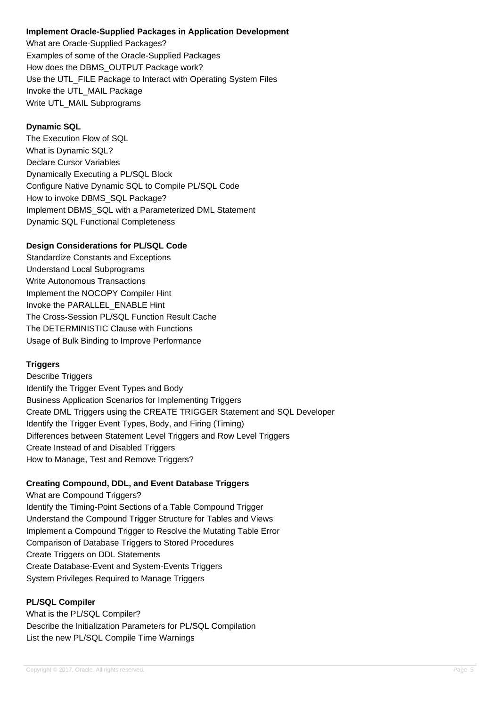## **Implement Oracle-Supplied Packages in Application Development**

What are Oracle-Supplied Packages? Examples of some of the Oracle-Supplied Packages How does the DBMS\_OUTPUT Package work? Use the UTL\_FILE Package to Interact with Operating System Files Invoke the UTL\_MAIL Package Write UTL MAIL Subprograms

# **Dynamic SQL**

The Execution Flow of SQL What is Dynamic SQL? Declare Cursor Variables Dynamically Executing a PL/SQL Block Configure Native Dynamic SQL to Compile PL/SQL Code How to invoke DBMS\_SQL Package? Implement DBMS\_SQL with a Parameterized DML Statement Dynamic SQL Functional Completeness

# **Design Considerations for PL/SQL Code**

Standardize Constants and Exceptions Understand Local Subprograms Write Autonomous Transactions Implement the NOCOPY Compiler Hint Invoke the PARALLEL\_ENABLE Hint The Cross-Session PL/SQL Function Result Cache The DETERMINISTIC Clause with Functions Usage of Bulk Binding to Improve Performance

# **Triggers**

Describe Triggers Identify the Trigger Event Types and Body Business Application Scenarios for Implementing Triggers Create DML Triggers using the CREATE TRIGGER Statement and SQL Developer Identify the Trigger Event Types, Body, and Firing (Timing) Differences between Statement Level Triggers and Row Level Triggers Create Instead of and Disabled Triggers How to Manage, Test and Remove Triggers?

# **Creating Compound, DDL, and Event Database Triggers**

What are Compound Triggers? Identify the Timing-Point Sections of a Table Compound Trigger Understand the Compound Trigger Structure for Tables and Views Implement a Compound Trigger to Resolve the Mutating Table Error Comparison of Database Triggers to Stored Procedures Create Triggers on DDL Statements Create Database-Event and System-Events Triggers System Privileges Required to Manage Triggers

# **PL/SQL Compiler**

What is the PL/SQL Compiler? Describe the Initialization Parameters for PL/SQL Compilation List the new PL/SQL Compile Time Warnings